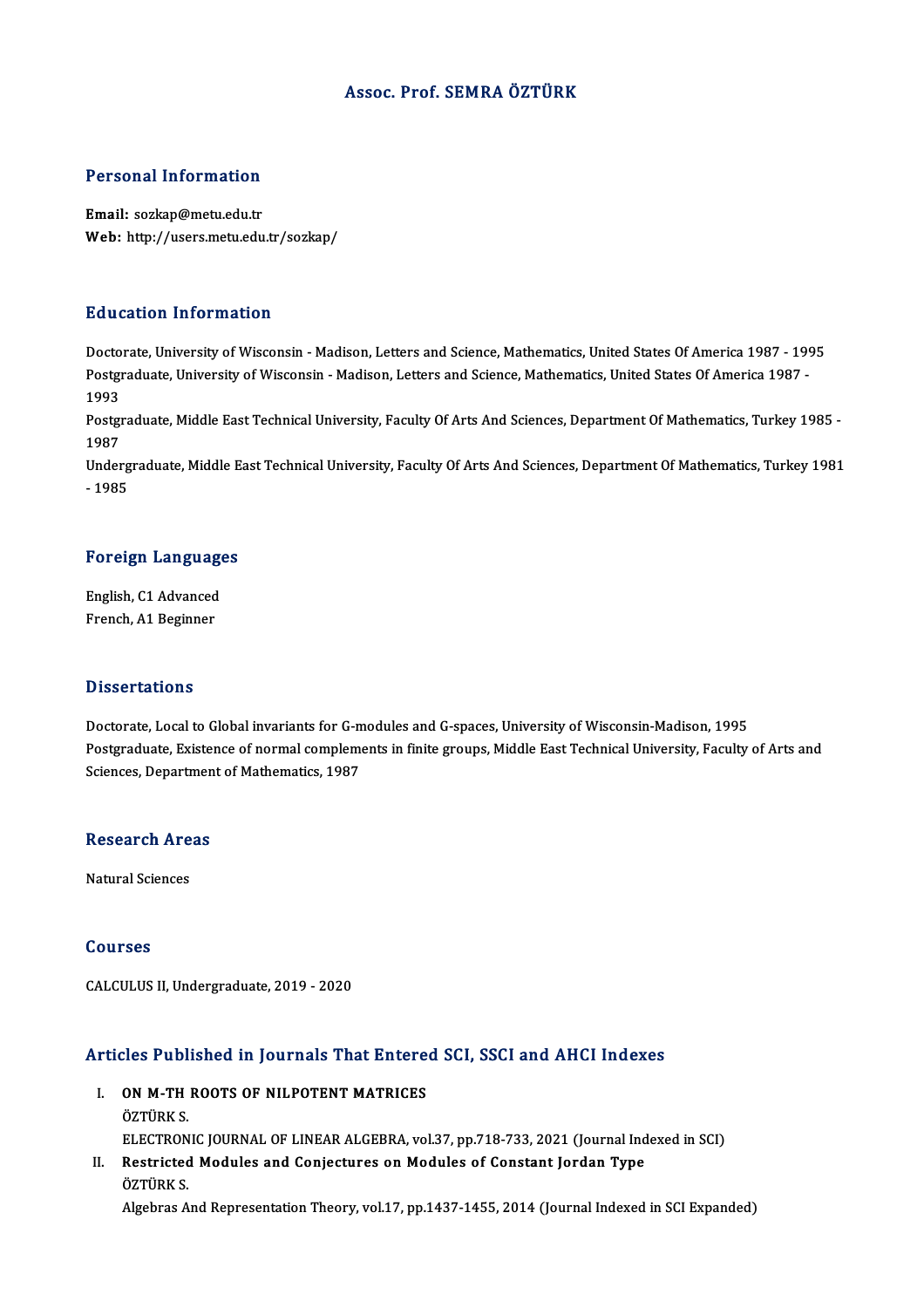#### Assoc. Prof. SEMRA ÖZTÜRK

#### Personal Information

Email: sozkap@metu.edu.tr Web: http://users.metu.edu.tr/sozkap/

#### Education Information

Education Information<br>Doctorate, University of Wisconsin - Madison, Letters and Science, Mathematics, United States Of America 1987<br>Postareduate University of Wisconsin, Madison Letters and Science, Mathematics, United Sta Pula Sacron Throt Inderon<br>Doctorate, University of Wisconsin - Madison, Letters and Science, Mathematics, United States Of America 1987 -<br>Postgraduate, University of Wisconsin - Madison, Letters and Science, Mathematics, U Docto<br>Postgi<br>1993<br>Postgi Postgraduate, University of Wisconsin - Madison, Letters and Science, Mathematics, United States Of America 1987 -<br>1993<br>Postgraduate, Middle East Technical University, Faculty Of Arts And Sciences, Department Of Mathematic

1993<br>Postgi<br>1987<br>Under Postgraduate, Middle East Technical University, Faculty Of Arts And Sciences, Department Of Mathematics, Turkey 1985<br>1987<br>Undergraduate, Middle East Technical University, Faculty Of Arts And Sciences, Department Of Mathema

1987<br>Undergraduate, Middle East Technical University, Faculty Of Arts And Sciences, Department Of Mathematics, Turkey 1981<br>- 1985

# - <sub>1985</sub><br>Foreign Languages

Foreign Language<br>English, C1 Advanced<br>Enangh A1 Beginner English, C1 Advanced<br>French, A1 Beginner

#### **Dissertations**

Doctorate, Local to Global invariants for G-modules and G-spaces, University of Wisconsin-Madison, 1995 Postgraduate, Existence of normal complements in finite groups, Middle East Technical University, Faculty of Arts and Sciences, Department of Mathematics, 1987

### sciences, Departmen<br>Research Areas <mark>Research Are</mark><br>Natural Sciences

Natural Sciences<br>Courses

CALCULUS II, Undergraduate, 2019 - 2020

# Articles Published in Journals That Entered SCI, SSCI and AHCI Indexes

- **Tricles Published in Journals That Entered**<br>I. ON M-TH ROOTS OF NILPOTENT MATRICES I. ON M-TH ROOTS OF NILPOTENT MATRICES<br>ÖZTÜRK S. ELECTRONICJOURNALOF LINEARALGEBRA,vol.37,pp.718-733,2021 (Journal Indexed inSCI) ÖZTÜRK S.<br>ELECTRONIC JOURNAL OF LINEAR ALGEBRA, vol.37, pp.718-733, 2021 (Journal Ind<br>II. Restricted Modules and Conjectures on Modules of Constant Jordan Type<br>ÖZTÜRK S
- ELECTRON<br>Restricted<br>ÖZTÜRK S.<br>Alsabras A ÖZTÜRK S.<br>Algebras And Representation Theory, vol.17, pp.1437-1455, 2014 (Journal Indexed in SCI Expanded)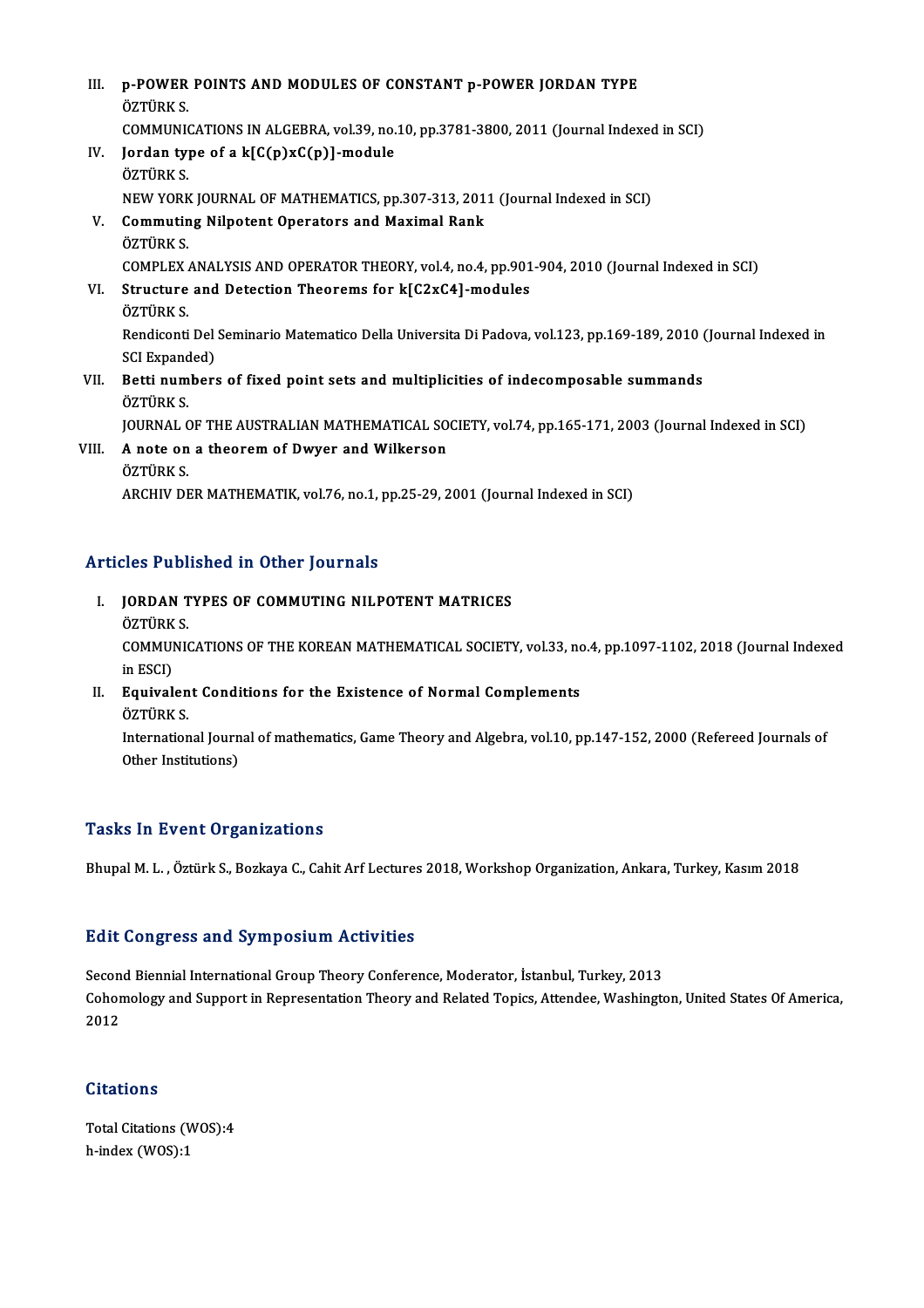| III.  | p-POWER POINTS AND MODULES OF CONSTANT p-POWER JORDAN TYPE                                                    |
|-------|---------------------------------------------------------------------------------------------------------------|
|       | ÖZTÜRK S.                                                                                                     |
|       | COMMUNICATIONS IN ALGEBRA, vol.39, no.10, pp.3781-3800, 2011 (Journal Indexed in SCI)                         |
| IV.   | Jordan type of a k[C(p)xC(p)]-module                                                                          |
|       | ÖZTÜRK S                                                                                                      |
|       | NEW YORK JOURNAL OF MATHEMATICS, pp.307-313, 2011 (Journal Indexed in SCI)                                    |
| V.    | <b>Commuting Nilpotent Operators and Maximal Rank</b>                                                         |
|       | ÖZTÜRK S                                                                                                      |
|       | COMPLEX ANALYSIS AND OPERATOR THEORY, vol.4, no.4, pp.901-904, 2010 (Journal Indexed in SCI)                  |
| VI.   | Structure and Detection Theorems for k[C2xC4]-modules                                                         |
|       | ÖZTÜRK S                                                                                                      |
|       | Rendiconti Del Seminario Matematico Della Universita Di Padova, vol.123, pp.169-189, 2010 (Journal Indexed in |
|       | SCI Expanded)                                                                                                 |
| VII.  | Betti numbers of fixed point sets and multiplicities of indecomposable summands                               |
|       | ÖZTÜRK S                                                                                                      |
|       | JOURNAL OF THE AUSTRALIAN MATHEMATICAL SOCIETY, vol.74, pp.165-171, 2003 (Journal Indexed in SCI)             |
| VIII. | A note on a theorem of Dwyer and Wilkerson                                                                    |
|       | ÖZTÜRK S                                                                                                      |
|       | ARCHIV DER MATHEMATIK, vol.76, no.1, pp.25-29, 2001 (Journal Indexed in SCI)                                  |

#### Articles Published in Other Journals

- rticles Published in Other Journals<br>I. JORDAN TYPES OF COMMUTING NILPOTENT MATRICES<br>ÖZTÜRK S MUSTURI<br>JORDAN T<br>ÖZTÜRK S.
	-

JORDAN TYPES OF COMMUTING NILPOTENT MATRICES<br>ÖZTÜRK S.<br>COMMUNICATIONS OF THE KOREAN MATHEMATICAL SOCIETY, vol.33, no.4, pp.1097-1102, 2018 (Journal Indexed<br>in ESCD ÖZTÜRK<br>COMMUI<br>in ESCI)<br>Equival COMMUNICATIONS OF THE KOREAN MATHEMATICAL SOCIETY, vol.33, no<br>in ESCI)<br>II. Equivalent Conditions for the Existence of Normal Complements<br> $\frac{\partial \mathbf{x}}{\partial \mathbf{x}}$ 

### in ESCI)<br>II. Equivalent Conditions for the Existence of Normal Complements<br>ÖZTÜRK S.

Equivalent Conditions for the Existence of Normal Complements<br>ÖZTÜRK S.<br>International Journal of mathematics, Game Theory and Algebra, vol.10, pp.147-152, 2000 (Refereed Journals of<br>Other Institutions) ÖZTÜRK S.<br>International Journ<br>Other Institutions)

## Other Institutions)<br>Tasks In Event Organizations

Bhupal M. L., Öztürk S., Bozkaya C., Cahit Arf Lectures 2018, Workshop Organization, Ankara, Turkey, Kasım 2018

#### **Edit Congress and Symposium Activities**

Edit Congress and Symposium Activities<br>Second Biennial International Group Theory Conference, Moderator, İstanbul, Turkey, 2013<br>Cohemalegy and Sunnert in Bennesentation Theory and Belated Teniss, Attendee, Weshingto Cohomology and Support in Representation Theory and Related Topics, Attendee, Washington, United States Of America,<br>2012 Secon<br>Cohor<br>2012

#### **Citations**

Citations<br>Total Citations (WOS):4<br>b.indov.(WOS):1 h-index (WOS):1